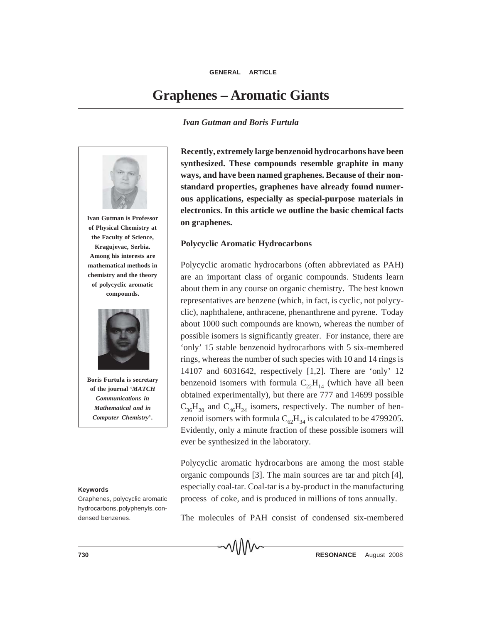# **Graphenes – Aromatic Giants**

#### *Ivan Gutman and Boris Furtula*



#### **Keywords**

Graphenes, polycyclic aromatic hydrocarbons, polyphenyls, condensed benzenes.

**Recently, extremely large benzenoid hydrocarbons have been synthesized. These compounds resemble graphite in many ways, and have been named graphenes. Because of their nonstandard properties, graphenes have already found numerous applications, especially as special-purpose materials in electronics. In this article we outline the basic chemical facts on graphenes.**

## **Polycyclic Aromatic Hydrocarbons**

Polycyclic aromatic hydrocarbons (often abbreviated as PAH) are an important class of organic compounds. Students learn about them in any course on organic chemistry. The best known representatives are benzene (which, in fact, is cyclic, not polycyclic), naphthalene, anthracene, phenanthrene and pyrene. Today about 1000 such compounds are known, whereas the number of possible isomers is significantly greater. For instance, there are 'only' 15 stable benzenoid hydrocarbons with 5 six-membered rings, whereas the number of such species with 10 and 14 rings is 14107 and 6031642, respectively [1,2]. There are 'only' 12 benzenoid isomers with formula  $C_{22}H_{14}$  (which have all been obtained experimentally), but there are 777 and 14699 possible  $C_{36}H_{20}$  and  $C_{46}H_{24}$  isomers, respectively. The number of benzenoid isomers with formula  $C_{62}H_{34}$  is calculated to be 4799205. Evidently, only a minute fraction of these possible isomers will ever be synthesized in the laboratory.

Polycyclic aromatic hydrocarbons are among the most stable organic compounds [3]. The main sources are tar and pitch [4], especially coal-tar. Coal-tar is a by-product in the manufacturing process of coke, and is produced in millions of tons annually.

The molecules of PAH consist of condensed six-membered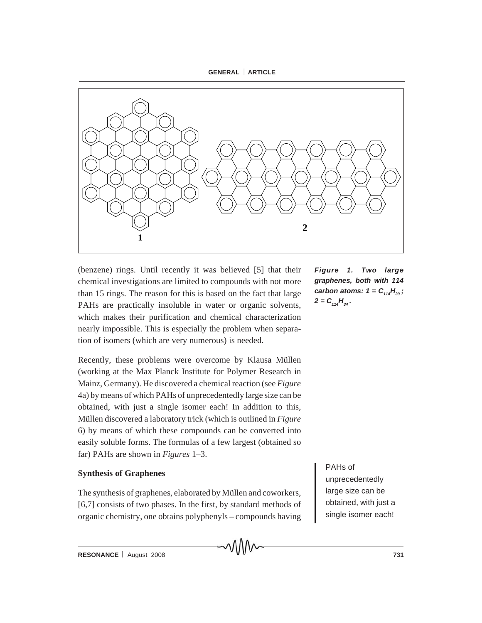



(benzene) rings. Until recently it was believed [5] that their chemical investigations are limited to compounds with not more than 15 rings. The reason for this is based on the fact that large PAHs are practically insoluble in water or organic solvents, which makes their purification and chemical characterization nearly impossible. This is especially the problem when separation of isomers (which are very numerous) is needed.

Recently, these problems were overcome by Klausa Müllen (working at the Max Planck Institute for Polymer Research in Mainz, Germany). He discovered a chemical reaction (see *Figure* 4a) by means of which PAHs of unprecedentedly large size can be obtained, with just a single isomer each! In addition to this, Müllen discovered a laboratory trick (which is outlined in *Figure* 6) by means of which these compounds can be converted into easily soluble forms. The formulas of a few largest (obtained so far) PAHs are shown in *Figures* 1–3.

# **Synthesis of Graphenes**

The synthesis of graphenes, elaborated by Müllen and coworkers, [6,7] consists of two phases. In the first, by standard methods of organic chemistry, one obtains polyphenyls – compounds having *Figure 1. Two large graphenes, both with 114 carbon atoms:*  $1 = C_{114}H_{30}$ ;  $2 = C_{114}H_{34}$ .

PAHs of

unprecedentedly large size can be obtained, with just a single isomer each!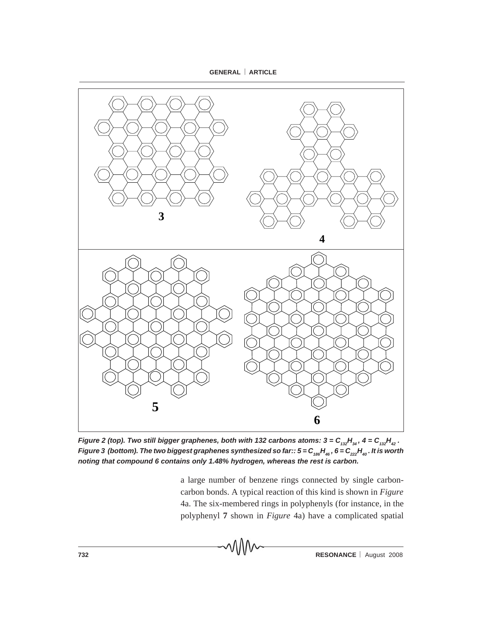**GENERAL** ⎜ **ARTICLE**



*Figure 2 (top). Two still bigger graphenes, both with 132 carbons atoms: 3* =  $C_{132}H_{34}$ , 4 =  $C_{132}H_{42}$ . *Figure 3 (bottom). The two biggest graphenes synthesized so far::*  $5 = C_{186}H_{46}$ *,*  $6 = C_{222}H_{40}$ *. It is worth noting that compound 6 contains only 1.48% hydrogen, whereas the rest is carbon.*

a large number of benzene rings connected by single carboncarbon bonds. A typical reaction of this kind is shown in *Figure* 4a. The six-membered rings in polyphenyls (for instance, in the polyphenyl **7** shown in *Figure* 4a) have a complicated spatial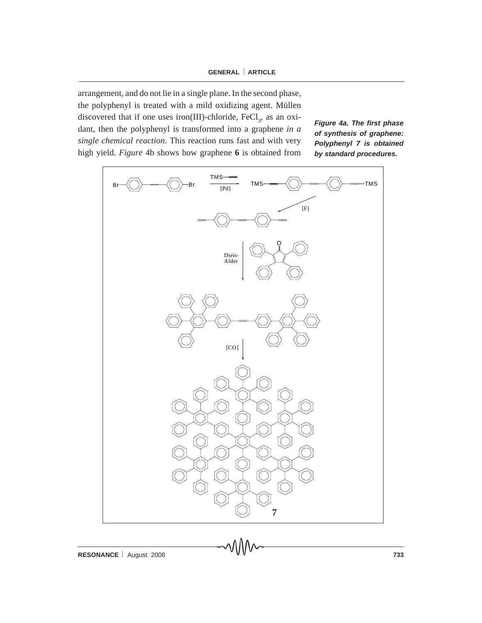arrangement, and do not lie in a single plane. In the second phase, the polyphenyl is treated with a mild oxidizing agent. Müllen discovered that if one uses iron(III)-chloride,  $FeCl<sub>3</sub>$ , as an oxidant, then the polyphenyl is transformed into a graphene *in a single chemical reaction*. This reaction runs fast and with very high yield. *Figure* 4b shows how graphene **6** is obtained from

*Figure 4a. The first phase of synthesis of graphene: Polyphenyl 7 is obtained by standard procedures.*

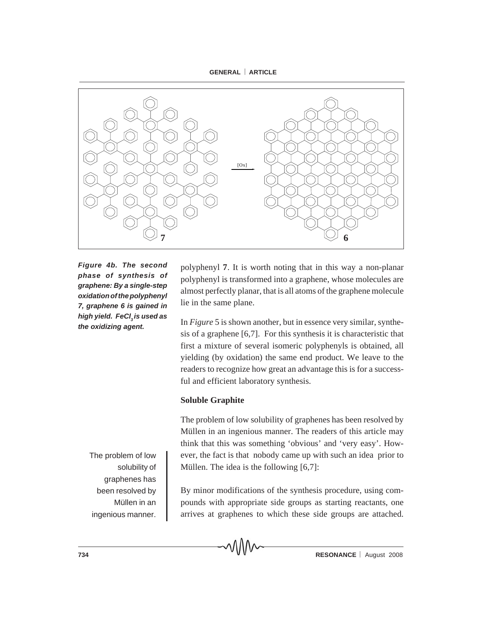**GENERAL** ⎜ **ARTICLE**



*Figure 4b. The second phase of synthesis of graphene: By a single-step oxidation of the polyphenyl 7, graphene 6 is gained in high yield. FeCl<sub>2</sub> is used as the oxidizing agent.*

> The problem of low solubility of graphenes has been resolved by Müllen in an ingenious manner.

polyphenyl **7**. It is worth noting that in this way a non-planar polyphenyl is transformed into a graphene, whose molecules are almost perfectly planar, that is all atoms of the graphene molecule lie in the same plane.

In *Figure* 5 is shown another, but in essence very similar, synthesis of a graphene [6,7]. For this synthesis it is characteristic that first a mixture of several isomeric polyphenyls is obtained, all yielding (by oxidation) the same end product. We leave to the readers to recognize how great an advantage this is for a successful and efficient laboratory synthesis.

# **Soluble Graphite**

The problem of low solubility of graphenes has been resolved by Müllen in an ingenious manner. The readers of this article may think that this was something 'obvious' and 'very easy'. However, the fact is that nobody came up with such an idea prior to Müllen. The idea is the following [6,7]:

By minor modifications of the synthesis procedure, using compounds with appropriate side groups as starting reactants, one arrives at graphenes to which these side groups are attached.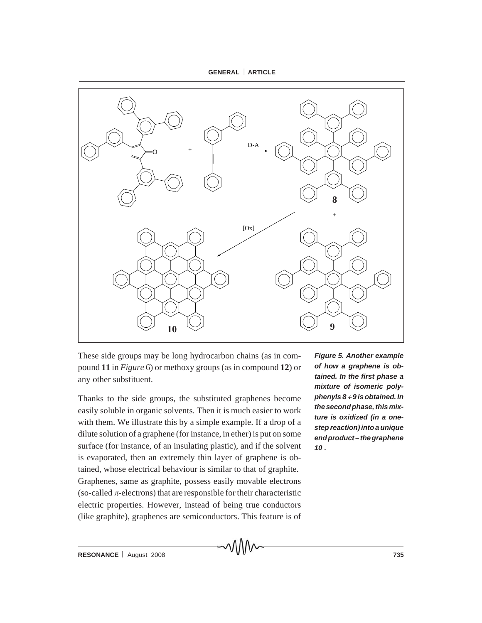



These side groups may be long hydrocarbon chains (as in compound **11** in *Figure* 6) or methoxy groups (as in compound **12**) or any other substituent.

Thanks to the side groups, the substituted graphenes become easily soluble in organic solvents. Then it is much easier to work with them. We illustrate this by a simple example. If a drop of a dilute solution of a graphene (for instance, in ether) is put on some surface (for instance, of an insulating plastic), and if the solvent is evaporated, then an extremely thin layer of graphene is obtained, whose electrical behaviour is similar to that of graphite. Graphenes, same as graphite, possess easily movable electrons (so-called  $\pi$ -electrons) that are responsible for their characteristic electric properties. However, instead of being true conductors (like graphite), graphenes are semiconductors. This feature is of *Figure 5. Another example of how a graphene is obtained. In the first phase a mixture of isomeric polyphenyls 8* + *9 is obtained. In the second phase, this mixture is oxidized (in a onestep reaction) into a unique end product – the graphene 10 .*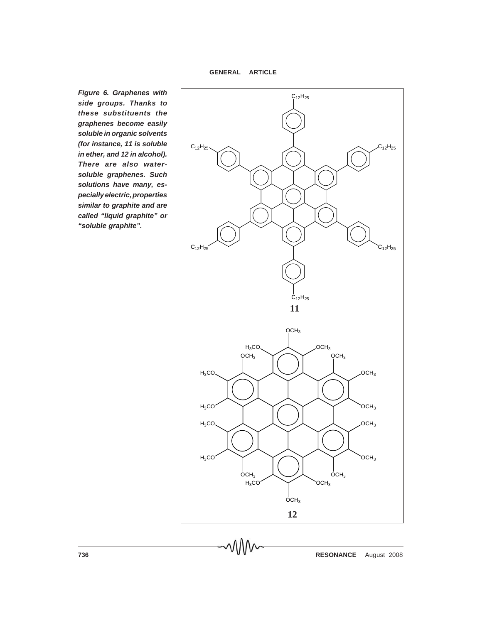**GENERAL** ⎜ **ARTICLE**

*Figure 6. Graphenes with side groups. Thanks to these substituents the graphenes become easily soluble in organic solvents (for instance, 11 is soluble in ether, and 12 in alcohol). There are also watersoluble graphenes. Such solutions have many, especially electric, properties similar to graphite and are called "liquid graphite" or "soluble graphite".*